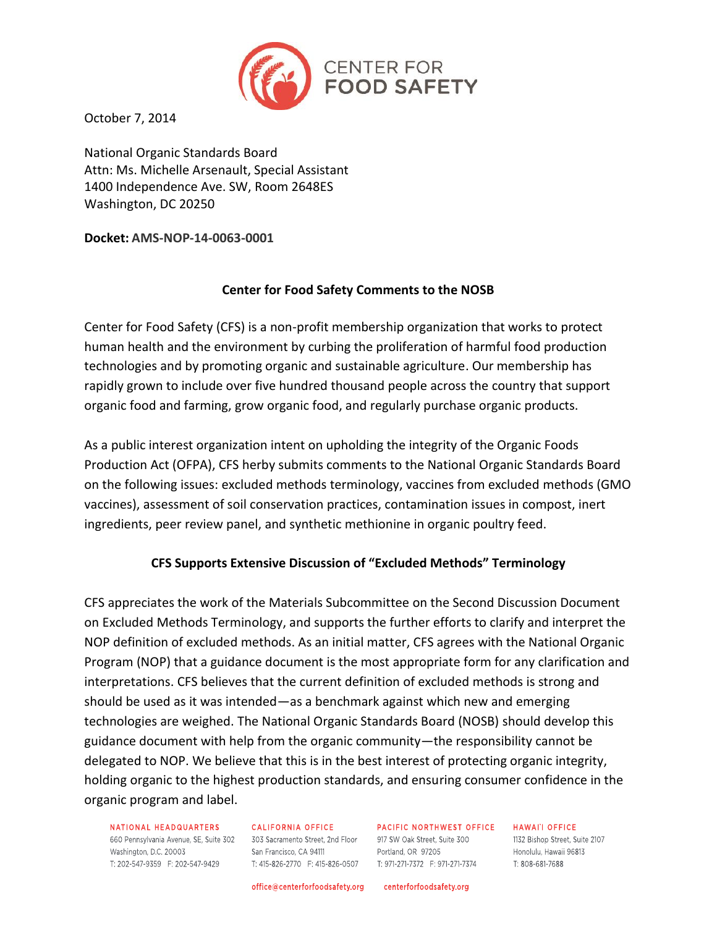

October 7, 2014

National Organic Standards Board Attn: Ms. Michelle Arsenault, Special Assistant 1400 Independence Ave. SW, Room 2648ES Washington, DC 20250

**Docket: AMS-NOP-14-0063-0001**

### **Center for Food Safety Comments to the NOSB**

Center for Food Safety (CFS) is a non-profit membership organization that works to protect human health and the environment by curbing the proliferation of harmful food production technologies and by promoting organic and sustainable agriculture. Our membership has rapidly grown to include over five hundred thousand people across the country that support organic food and farming, grow organic food, and regularly purchase organic products.

As a public interest organization intent on upholding the integrity of the Organic Foods Production Act (OFPA), CFS herby submits comments to the National Organic Standards Board on the following issues: excluded methods terminology, vaccines from excluded methods (GMO vaccines), assessment of soil conservation practices, contamination issues in compost, inert ingredients, peer review panel, and synthetic methionine in organic poultry feed.

# **CFS Supports Extensive Discussion of "Excluded Methods" Terminology**

CFS appreciates the work of the Materials Subcommittee on the Second Discussion Document on Excluded Methods Terminology, and supports the further efforts to clarify and interpret the NOP definition of excluded methods. As an initial matter, CFS agrees with the National Organic Program (NOP) that a guidance document is the most appropriate form for any clarification and interpretations. CFS believes that the current definition of excluded methods is strong and should be used as it was intended—as a benchmark against which new and emerging technologies are weighed. The National Organic Standards Board (NOSB) should develop this guidance document with help from the organic community—the responsibility cannot be delegated to NOP. We believe that this is in the best interest of protecting organic integrity, holding organic to the highest production standards, and ensuring consumer confidence in the organic program and label.

NATIONAL HEADQUARTERS **NATIONAL HEADQUARTERS** CALIFORNIA OFFICE PACIFIC NORTHWEST OFFICE<br>660 Pennsylvania Avenue, SE, Suite 302 303 Sacramento Street, 2nd Floor 917 SW Oak Street, Suite 300<br>Washington, D.C. 20003 San Francisco, CA 94111 Portlan T: 202-547-9359 F: 202-547-9429

CALIFORNIA OFFICE T: 415-826-2770 F: 415-826-0507 T: 971-271-7372 F: 971-271-7374

PACIFIC NORTHWEST OFFICE HAWAI'I OFFICE

1132 Bishop Street, Suite 2107

Honolulu, Hawaii 96813 T: 808-681-7688

office@centerforfoodsafety.org centerforfoodsafety.org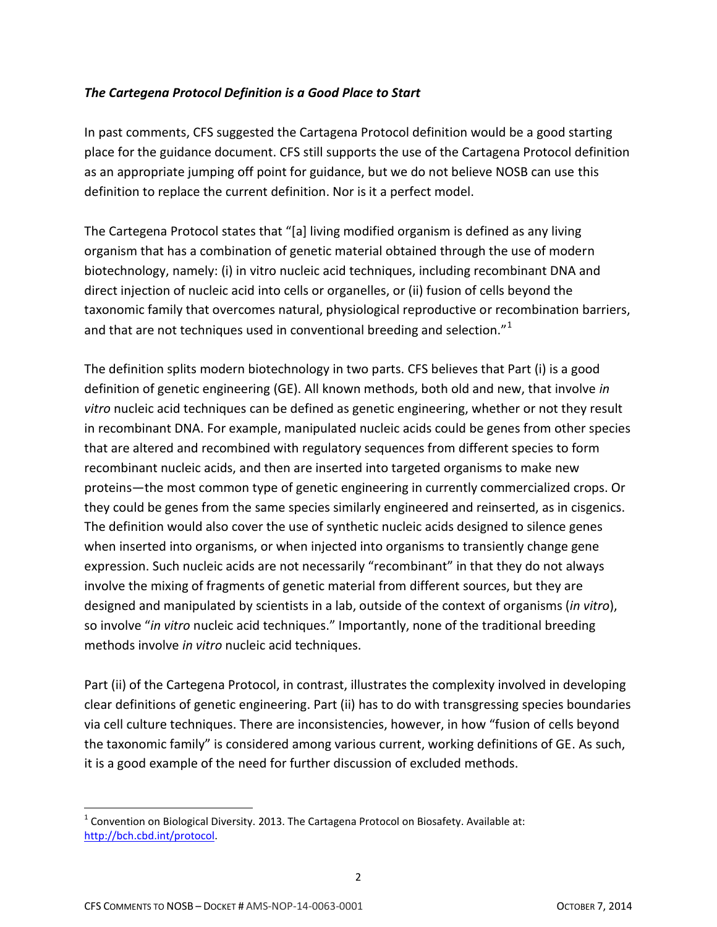### *The Cartegena Protocol Definition is a Good Place to Start*

In past comments, CFS suggested the Cartagena Protocol definition would be a good starting place for the guidance document. CFS still supports the use of the Cartagena Protocol definition as an appropriate jumping off point for guidance, but we do not believe NOSB can use this definition to replace the current definition. Nor is it a perfect model.

The Cartegena Protocol states that "[a] living modified organism is defined as any living organism that has a combination of genetic material obtained through the use of modern biotechnology, namely: (i) in vitro nucleic acid techniques, including recombinant DNA and direct injection of nucleic acid into cells or organelles, or (ii) fusion of cells beyond the taxonomic family that overcomes natural, physiological reproductive or recombination barriers, and that are not techniques used in conventional breeding and selection. $1^{1}$ 

The definition splits modern biotechnology in two parts. CFS believes that Part (i) is a good definition of genetic engineering (GE). All known methods, both old and new, that involve *in vitro* nucleic acid techniques can be defined as genetic engineering, whether or not they result in recombinant DNA. For example, manipulated nucleic acids could be genes from other species that are altered and recombined with regulatory sequences from different species to form recombinant nucleic acids, and then are inserted into targeted organisms to make new proteins—the most common type of genetic engineering in currently commercialized crops. Or they could be genes from the same species similarly engineered and reinserted, as in cisgenics. The definition would also cover the use of synthetic nucleic acids designed to silence genes when inserted into organisms, or when injected into organisms to transiently change gene expression. Such nucleic acids are not necessarily "recombinant" in that they do not always involve the mixing of fragments of genetic material from different sources, but they are designed and manipulated by scientists in a lab, outside of the context of organisms (*in vitro*), so involve "*in vitro* nucleic acid techniques." Importantly, none of the traditional breeding methods involve *in vitro* nucleic acid techniques.

Part (ii) of the Cartegena Protocol, in contrast, illustrates the complexity involved in developing clear definitions of genetic engineering. Part (ii) has to do with transgressing species boundaries via cell culture techniques. There are inconsistencies, however, in how "fusion of cells beyond the taxonomic family" is considered among various current, working definitions of GE. As such, it is a good example of the need for further discussion of excluded methods.

l

 $^{1}$  Convention on Biological Diversity. 2013. The Cartagena Protocol on Biosafety. Available at: [http://bch.cbd.int/protocol.](http://bch.cbd.int/protocol)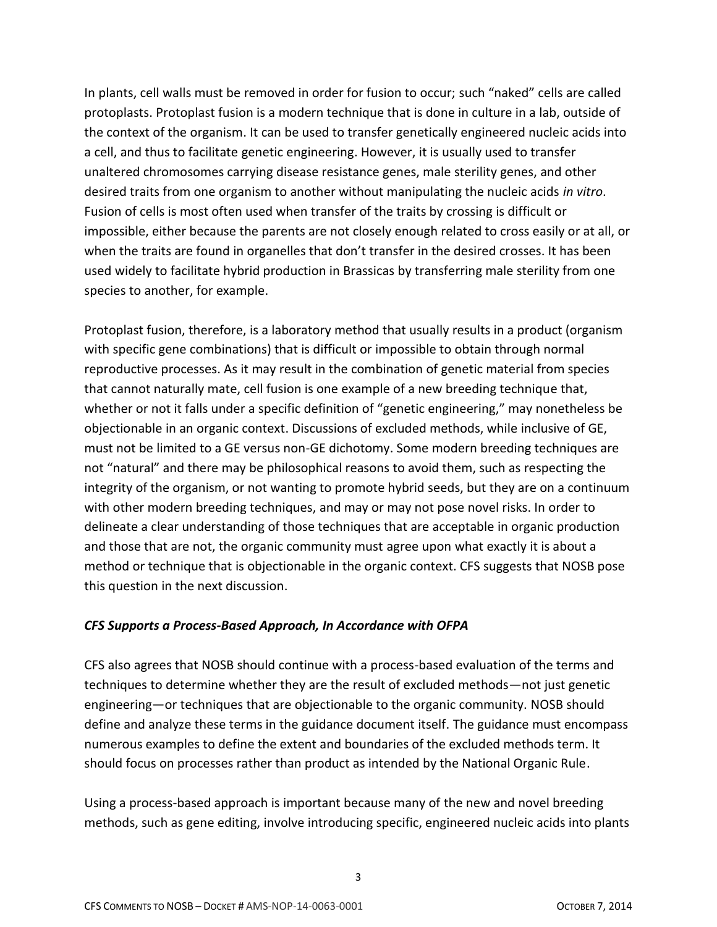In plants, cell walls must be removed in order for fusion to occur; such "naked" cells are called protoplasts. Protoplast fusion is a modern technique that is done in culture in a lab, outside of the context of the organism. It can be used to transfer genetically engineered nucleic acids into a cell, and thus to facilitate genetic engineering. However, it is usually used to transfer unaltered chromosomes carrying disease resistance genes, male sterility genes, and other desired traits from one organism to another without manipulating the nucleic acids *in vitro*. Fusion of cells is most often used when transfer of the traits by crossing is difficult or impossible, either because the parents are not closely enough related to cross easily or at all, or when the traits are found in organelles that don't transfer in the desired crosses. It has been used widely to facilitate hybrid production in Brassicas by transferring male sterility from one species to another, for example.

Protoplast fusion, therefore, is a laboratory method that usually results in a product (organism with specific gene combinations) that is difficult or impossible to obtain through normal reproductive processes. As it may result in the combination of genetic material from species that cannot naturally mate, cell fusion is one example of a new breeding technique that, whether or not it falls under a specific definition of "genetic engineering," may nonetheless be objectionable in an organic context. Discussions of excluded methods, while inclusive of GE, must not be limited to a GE versus non-GE dichotomy. Some modern breeding techniques are not "natural" and there may be philosophical reasons to avoid them, such as respecting the integrity of the organism, or not wanting to promote hybrid seeds, but they are on a continuum with other modern breeding techniques, and may or may not pose novel risks. In order to delineate a clear understanding of those techniques that are acceptable in organic production and those that are not, the organic community must agree upon what exactly it is about a method or technique that is objectionable in the organic context. CFS suggests that NOSB pose this question in the next discussion.

#### *CFS Supports a Process-Based Approach, In Accordance with OFPA*

CFS also agrees that NOSB should continue with a process-based evaluation of the terms and techniques to determine whether they are the result of excluded methods—not just genetic engineering—or techniques that are objectionable to the organic community. NOSB should define and analyze these terms in the guidance document itself. The guidance must encompass numerous examples to define the extent and boundaries of the excluded methods term. It should focus on processes rather than product as intended by the National Organic Rule.

Using a process-based approach is important because many of the new and novel breeding methods, such as gene editing, involve introducing specific, engineered nucleic acids into plants

3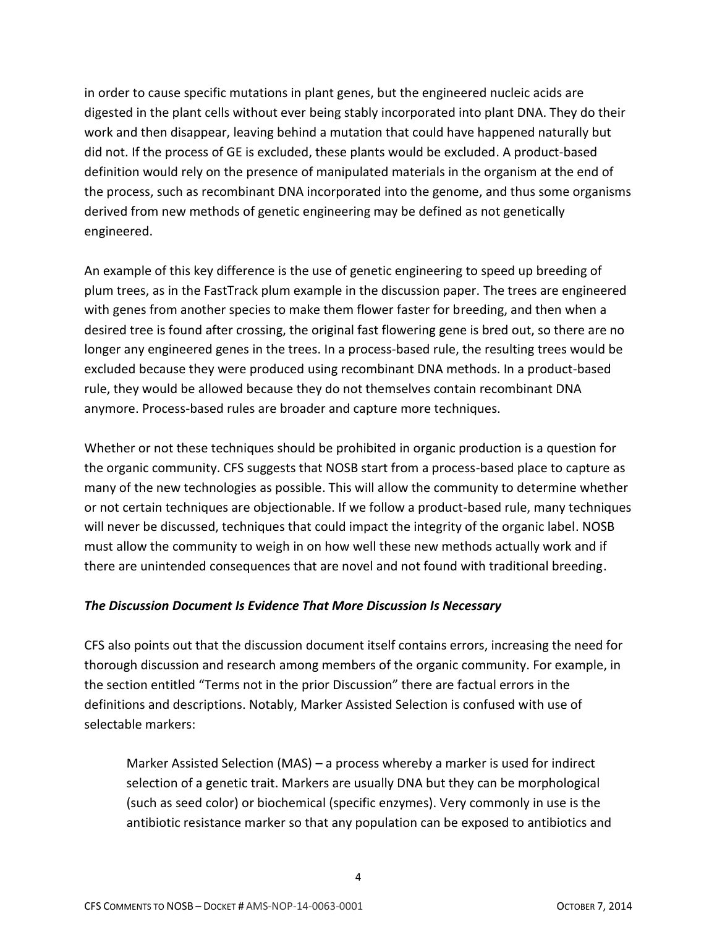in order to cause specific mutations in plant genes, but the engineered nucleic acids are digested in the plant cells without ever being stably incorporated into plant DNA. They do their work and then disappear, leaving behind a mutation that could have happened naturally but did not. If the process of GE is excluded, these plants would be excluded. A product-based definition would rely on the presence of manipulated materials in the organism at the end of the process, such as recombinant DNA incorporated into the genome, and thus some organisms derived from new methods of genetic engineering may be defined as not genetically engineered.

An example of this key difference is the use of genetic engineering to speed up breeding of plum trees, as in the FastTrack plum example in the discussion paper. The trees are engineered with genes from another species to make them flower faster for breeding, and then when a desired tree is found after crossing, the original fast flowering gene is bred out, so there are no longer any engineered genes in the trees. In a process-based rule, the resulting trees would be excluded because they were produced using recombinant DNA methods. In a product-based rule, they would be allowed because they do not themselves contain recombinant DNA anymore. Process-based rules are broader and capture more techniques.

Whether or not these techniques should be prohibited in organic production is a question for the organic community. CFS suggests that NOSB start from a process-based place to capture as many of the new technologies as possible. This will allow the community to determine whether or not certain techniques are objectionable. If we follow a product-based rule, many techniques will never be discussed, techniques that could impact the integrity of the organic label. NOSB must allow the community to weigh in on how well these new methods actually work and if there are unintended consequences that are novel and not found with traditional breeding.

# *The Discussion Document Is Evidence That More Discussion Is Necessary*

CFS also points out that the discussion document itself contains errors, increasing the need for thorough discussion and research among members of the organic community. For example, in the section entitled "Terms not in the prior Discussion" there are factual errors in the definitions and descriptions. Notably, Marker Assisted Selection is confused with use of selectable markers:

Marker Assisted Selection (MAS) – a process whereby a marker is used for indirect selection of a genetic trait. Markers are usually DNA but they can be morphological (such as seed color) or biochemical (specific enzymes). Very commonly in use is the antibiotic resistance marker so that any population can be exposed to antibiotics and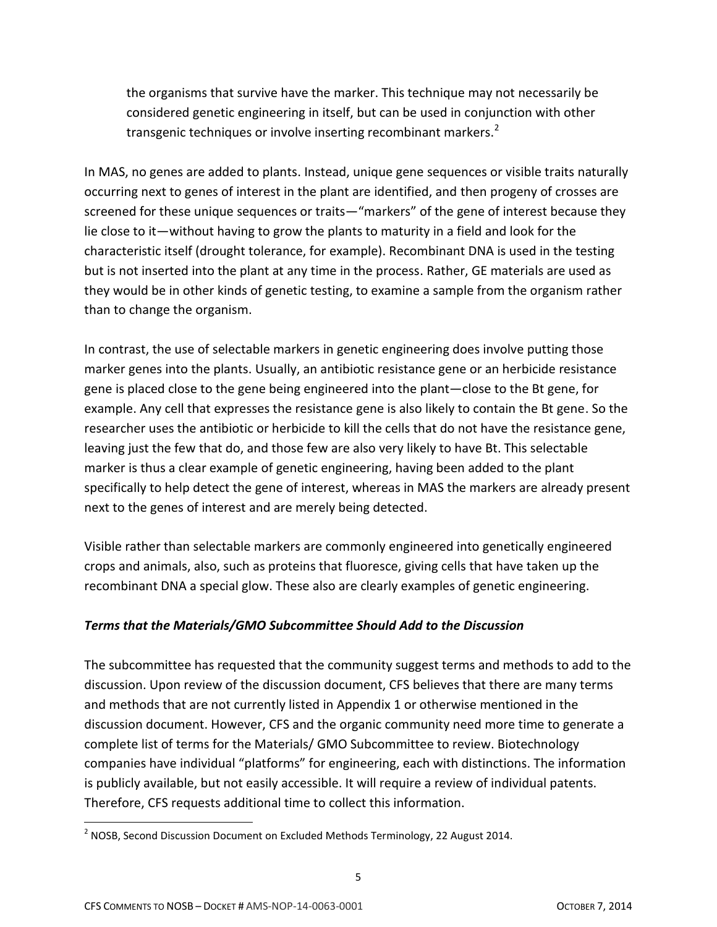the organisms that survive have the marker. This technique may not necessarily be considered genetic engineering in itself, but can be used in conjunction with other transgenic techniques or involve inserting recombinant markers.<sup>2</sup>

In MAS, no genes are added to plants. Instead, unique gene sequences or visible traits naturally occurring next to genes of interest in the plant are identified, and then progeny of crosses are screened for these unique sequences or traits—"markers" of the gene of interest because they lie close to it—without having to grow the plants to maturity in a field and look for the characteristic itself (drought tolerance, for example). Recombinant DNA is used in the testing but is not inserted into the plant at any time in the process. Rather, GE materials are used as they would be in other kinds of genetic testing, to examine a sample from the organism rather than to change the organism.

In contrast, the use of selectable markers in genetic engineering does involve putting those marker genes into the plants. Usually, an antibiotic resistance gene or an herbicide resistance gene is placed close to the gene being engineered into the plant—close to the Bt gene, for example. Any cell that expresses the resistance gene is also likely to contain the Bt gene. So the researcher uses the antibiotic or herbicide to kill the cells that do not have the resistance gene, leaving just the few that do, and those few are also very likely to have Bt. This selectable marker is thus a clear example of genetic engineering, having been added to the plant specifically to help detect the gene of interest, whereas in MAS the markers are already present next to the genes of interest and are merely being detected.

Visible rather than selectable markers are commonly engineered into genetically engineered crops and animals, also, such as proteins that fluoresce, giving cells that have taken up the recombinant DNA a special glow. These also are clearly examples of genetic engineering.

# *Terms that the Materials/GMO Subcommittee Should Add to the Discussion*

The subcommittee has requested that the community suggest terms and methods to add to the discussion. Upon review of the discussion document, CFS believes that there are many terms and methods that are not currently listed in Appendix 1 or otherwise mentioned in the discussion document. However, CFS and the organic community need more time to generate a complete list of terms for the Materials/ GMO Subcommittee to review. Biotechnology companies have individual "platforms" for engineering, each with distinctions. The information is publicly available, but not easily accessible. It will require a review of individual patents. Therefore, CFS requests additional time to collect this information.

 $^2$  NOSB, Second Discussion Document on Excluded Methods Terminology, 22 August 2014.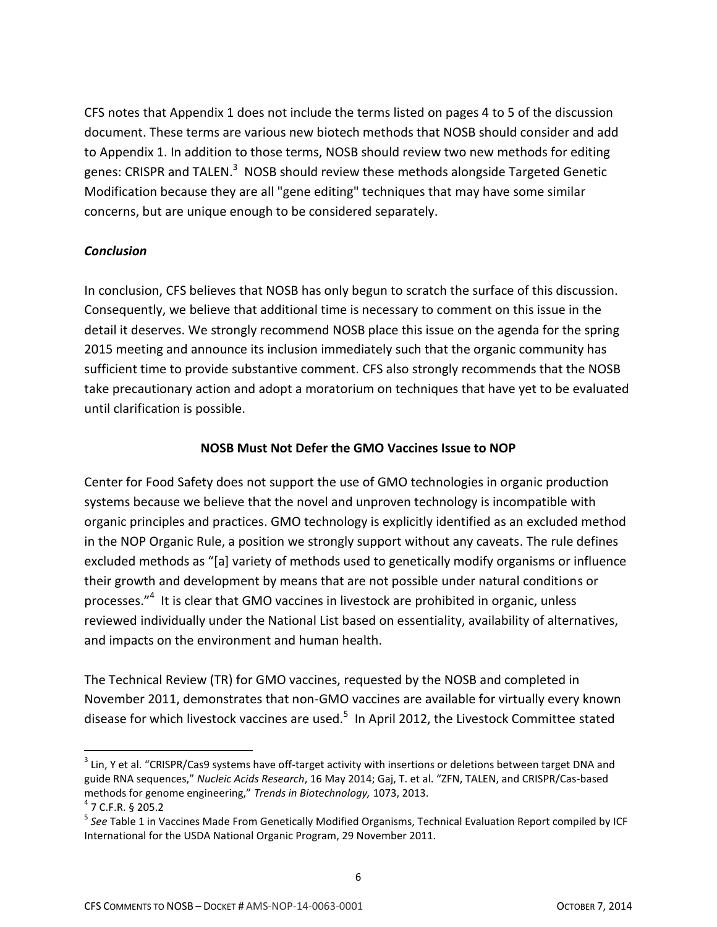CFS notes that Appendix 1 does not include the terms listed on pages 4 to 5 of the discussion document. These terms are various new biotech methods that NOSB should consider and add to Appendix 1. In addition to those terms, NOSB should review two new methods for editing genes: CRISPR and TALEN.<sup>3</sup> NOSB should review these methods alongside Targeted Genetic Modification because they are all "gene editing" techniques that may have some similar concerns, but are unique enough to be considered separately.

### *Conclusion*

In conclusion, CFS believes that NOSB has only begun to scratch the surface of this discussion. Consequently, we believe that additional time is necessary to comment on this issue in the detail it deserves. We strongly recommend NOSB place this issue on the agenda for the spring 2015 meeting and announce its inclusion immediately such that the organic community has sufficient time to provide substantive comment. CFS also strongly recommends that the NOSB take precautionary action and adopt a moratorium on techniques that have yet to be evaluated until clarification is possible.

### **NOSB Must Not Defer the GMO Vaccines Issue to NOP**

Center for Food Safety does not support the use of GMO technologies in organic production systems because we believe that the novel and unproven technology is incompatible with organic principles and practices. GMO technology is explicitly identified as an excluded method in the NOP Organic Rule, a position we strongly support without any caveats. The rule defines excluded methods as "[a] variety of methods used to genetically modify organisms or influence their growth and development by means that are not possible under natural conditions or processes."<sup>4</sup> It is clear that GMO vaccines in livestock are prohibited in organic, unless reviewed individually under the National List based on essentiality, availability of alternatives, and impacts on the environment and human health.

The Technical Review (TR) for GMO vaccines, requested by the NOSB and completed in November 2011, demonstrates that non-GMO vaccines are available for virtually every known disease for which livestock vaccines are used.<sup>5</sup> In April 2012, the Livestock Committee stated

 $\overline{a}$ 

 $3$  Lin, Y et al. "CRISPR/Cas9 systems have off-target activity with insertions or deletions between target DNA and guide RNA sequences," *Nucleic Acids Research*, 16 May 2014; Gaj, T. et al. "ZFN, TALEN, and CRISPR/Cas-based methods for genome engineering," *Trends in Biotechnology,* 1073, 2013.

<sup>4</sup> 7 C.F.R. § 205.2

<sup>&</sup>lt;sup>5</sup> See Table 1 in Vaccines Made From Genetically Modified Organisms, Technical Evaluation Report compiled by ICF International for the USDA National Organic Program, 29 November 2011.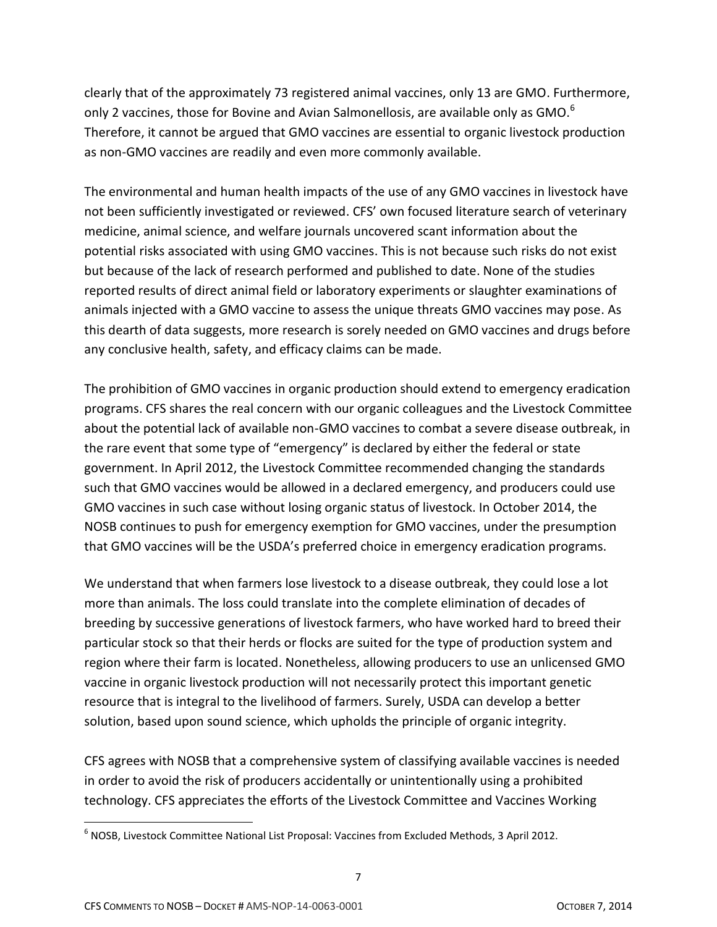clearly that of the approximately 73 registered animal vaccines, only 13 are GMO. Furthermore, only 2 vaccines, those for Bovine and Avian Salmonellosis, are available only as GMO.<sup>6</sup> Therefore, it cannot be argued that GMO vaccines are essential to organic livestock production as non-GMO vaccines are readily and even more commonly available.

The environmental and human health impacts of the use of any GMO vaccines in livestock have not been sufficiently investigated or reviewed. CFS' own focused literature search of veterinary medicine, animal science, and welfare journals uncovered scant information about the potential risks associated with using GMO vaccines. This is not because such risks do not exist but because of the lack of research performed and published to date. None of the studies reported results of direct animal field or laboratory experiments or slaughter examinations of animals injected with a GMO vaccine to assess the unique threats GMO vaccines may pose. As this dearth of data suggests, more research is sorely needed on GMO vaccines and drugs before any conclusive health, safety, and efficacy claims can be made.

The prohibition of GMO vaccines in organic production should extend to emergency eradication programs. CFS shares the real concern with our organic colleagues and the Livestock Committee about the potential lack of available non‐GMO vaccines to combat a severe disease outbreak, in the rare event that some type of "emergency" is declared by either the federal or state government. In April 2012, the Livestock Committee recommended changing the standards such that GMO vaccines would be allowed in a declared emergency, and producers could use GMO vaccines in such case without losing organic status of livestock. In October 2014, the NOSB continues to push for emergency exemption for GMO vaccines, under the presumption that GMO vaccines will be the USDA's preferred choice in emergency eradication programs.

We understand that when farmers lose livestock to a disease outbreak, they could lose a lot more than animals. The loss could translate into the complete elimination of decades of breeding by successive generations of livestock farmers, who have worked hard to breed their particular stock so that their herds or flocks are suited for the type of production system and region where their farm is located. Nonetheless, allowing producers to use an unlicensed GMO vaccine in organic livestock production will not necessarily protect this important genetic resource that is integral to the livelihood of farmers. Surely, USDA can develop a better solution, based upon sound science, which upholds the principle of organic integrity.

CFS agrees with NOSB that a comprehensive system of classifying available vaccines is needed in order to avoid the risk of producers accidentally or unintentionally using a prohibited technology. CFS appreciates the efforts of the Livestock Committee and Vaccines Working

<sup>6</sup> NOSB, Livestock Committee National List Proposal: Vaccines from Excluded Methods, 3 April 2012.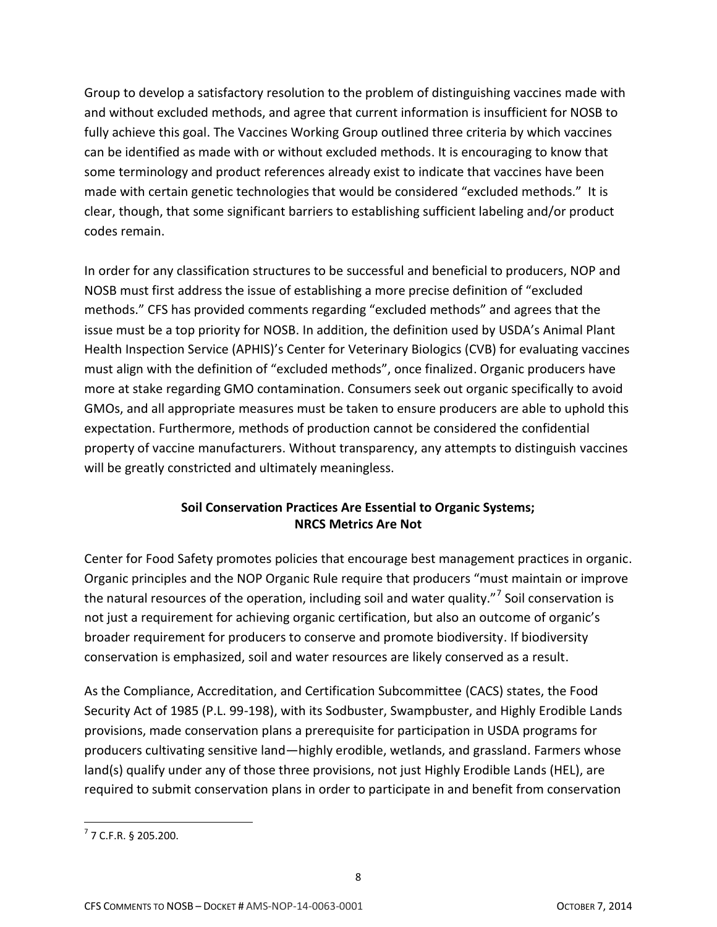Group to develop a satisfactory resolution to the problem of distinguishing vaccines made with and without excluded methods, and agree that current information is insufficient for NOSB to fully achieve this goal. The Vaccines Working Group outlined three criteria by which vaccines can be identified as made with or without excluded methods. It is encouraging to know that some terminology and product references already exist to indicate that vaccines have been made with certain genetic technologies that would be considered "excluded methods." It is clear, though, that some significant barriers to establishing sufficient labeling and/or product codes remain.

In order for any classification structures to be successful and beneficial to producers, NOP and NOSB must first address the issue of establishing a more precise definition of "excluded methods." CFS has provided comments regarding "excluded methods" and agrees that the issue must be a top priority for NOSB. In addition, the definition used by USDA's Animal Plant Health Inspection Service (APHIS)'s Center for Veterinary Biologics (CVB) for evaluating vaccines must align with the definition of "excluded methods", once finalized. Organic producers have more at stake regarding GMO contamination. Consumers seek out organic specifically to avoid GMOs, and all appropriate measures must be taken to ensure producers are able to uphold this expectation. Furthermore, methods of production cannot be considered the confidential property of vaccine manufacturers. Without transparency, any attempts to distinguish vaccines will be greatly constricted and ultimately meaningless.

# **Soil Conservation Practices Are Essential to Organic Systems; NRCS Metrics Are Not**

Center for Food Safety promotes policies that encourage best management practices in organic. Organic principles and the NOP Organic Rule require that producers "must maintain or improve the natural resources of the operation, including soil and water quality."<sup>7</sup> Soil conservation is not just a requirement for achieving organic certification, but also an outcome of organic's broader requirement for producers to conserve and promote biodiversity. If biodiversity conservation is emphasized, soil and water resources are likely conserved as a result.

As the Compliance, Accreditation, and Certification Subcommittee (CACS) states, the Food Security Act of 1985 (P.L. 99-198), with its Sodbuster, Swampbuster, and Highly Erodible Lands provisions, made conservation plans a prerequisite for participation in USDA programs for producers cultivating sensitive land—highly erodible, wetlands, and grassland. Farmers whose land(s) qualify under any of those three provisions, not just Highly Erodible Lands (HEL), are required to submit conservation plans in order to participate in and benefit from conservation

 $7$  7 C.F.R. § 205.200.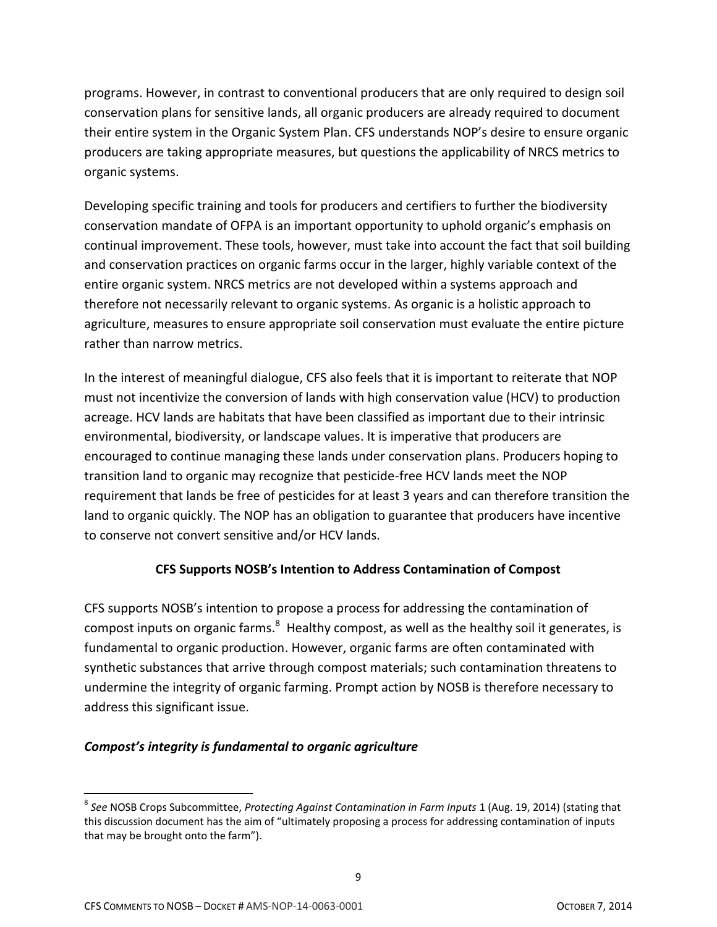programs. However, in contrast to conventional producers that are only required to design soil conservation plans for sensitive lands, all organic producers are already required to document their entire system in the Organic System Plan. CFS understands NOP's desire to ensure organic producers are taking appropriate measures, but questions the applicability of NRCS metrics to organic systems.

Developing specific training and tools for producers and certifiers to further the biodiversity conservation mandate of OFPA is an important opportunity to uphold organic's emphasis on continual improvement. These tools, however, must take into account the fact that soil building and conservation practices on organic farms occur in the larger, highly variable context of the entire organic system. NRCS metrics are not developed within a systems approach and therefore not necessarily relevant to organic systems. As organic is a holistic approach to agriculture, measures to ensure appropriate soil conservation must evaluate the entire picture rather than narrow metrics.

In the interest of meaningful dialogue, CFS also feels that it is important to reiterate that NOP must not incentivize the conversion of lands with high conservation value (HCV) to production acreage. HCV lands are habitats that have been classified as important due to their intrinsic environmental, biodiversity, or landscape values. It is imperative that producers are encouraged to continue managing these lands under conservation plans. Producers hoping to transition land to organic may recognize that pesticide-free HCV lands meet the NOP requirement that lands be free of pesticides for at least 3 years and can therefore transition the land to organic quickly. The NOP has an obligation to guarantee that producers have incentive to conserve not convert sensitive and/or HCV lands.

# **CFS Supports NOSB's Intention to Address Contamination of Compost**

CFS supports NOSB's intention to propose a process for addressing the contamination of compost inputs on organic farms. $^8$  Healthy compost, as well as the healthy soil it generates, is fundamental to organic production. However, organic farms are often contaminated with synthetic substances that arrive through compost materials; such contamination threatens to undermine the integrity of organic farming. Prompt action by NOSB is therefore necessary to address this significant issue.

# *Compost's integrity is fundamental to organic agriculture*

<sup>8</sup> *See* NOSB Crops Subcommittee, *Protecting Against Contamination in Farm Inputs* 1 (Aug. 19, 2014) (stating that this discussion document has the aim of "ultimately proposing a process for addressing contamination of inputs that may be brought onto the farm").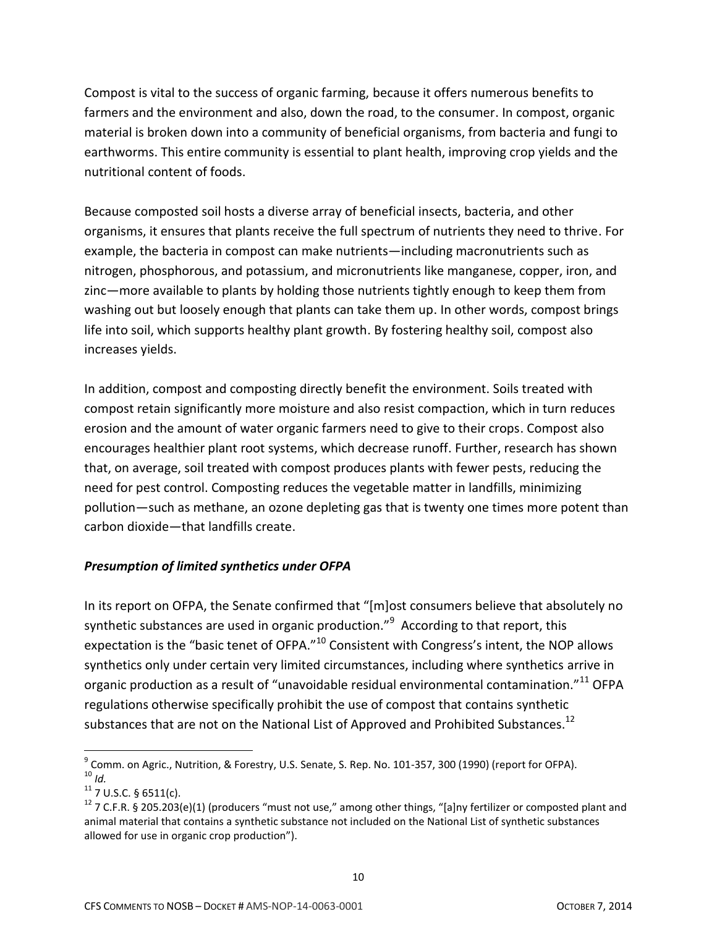Compost is vital to the success of organic farming, because it offers numerous benefits to farmers and the environment and also, down the road, to the consumer. In compost, organic material is broken down into a community of beneficial organisms, from bacteria and fungi to earthworms. This entire community is essential to plant health, improving crop yields and the nutritional content of foods.

Because composted soil hosts a diverse array of beneficial insects, bacteria, and other organisms, it ensures that plants receive the full spectrum of nutrients they need to thrive. For example, the bacteria in compost can make nutrients—including macronutrients such as nitrogen, phosphorous, and potassium, and micronutrients like manganese, copper, iron, and zinc—more available to plants by holding those nutrients tightly enough to keep them from washing out but loosely enough that plants can take them up. In other words, compost brings life into soil, which supports healthy plant growth. By fostering healthy soil, compost also increases yields.

In addition, compost and composting directly benefit the environment. Soils treated with compost retain significantly more moisture and also resist compaction, which in turn reduces erosion and the amount of water organic farmers need to give to their crops. Compost also encourages healthier plant root systems, which decrease runoff. Further, research has shown that, on average, soil treated with compost produces plants with fewer pests, reducing the need for pest control. Composting reduces the vegetable matter in landfills, minimizing pollution—such as methane, an ozone depleting gas that is twenty one times more potent than carbon dioxide—that landfills create.

#### *Presumption of limited synthetics under OFPA*

In its report on OFPA, the Senate confirmed that "[m]ost consumers believe that absolutely no synthetic substances are used in organic production."<sup>9</sup> According to that report, this expectation is the "basic tenet of OFPA."<sup>10</sup> Consistent with Congress's intent, the NOP allows synthetics only under certain very limited circumstances, including where synthetics arrive in organic production as a result of "unavoidable residual environmental contamination."<sup>11</sup> OFPA regulations otherwise specifically prohibit the use of compost that contains synthetic substances that are not on the National List of Approved and Prohibited Substances.<sup>12</sup>

 $\overline{a}$ <sup>9</sup> Comm. on Agric., Nutrition, & Forestry, U.S. Senate, S. Rep. No. 101-357, 300 (1990) (report for OFPA). <sup>10</sup> *Id.*

 $11$  7 U.S.C. § 6511(c).

<sup>&</sup>lt;sup>12</sup> 7 C.F.R. § 205.203(e)(1) (producers "must not use," among other things, "[a]ny fertilizer or composted plant and animal material that contains a synthetic substance not included on the National List of synthetic substances allowed for use in organic crop production").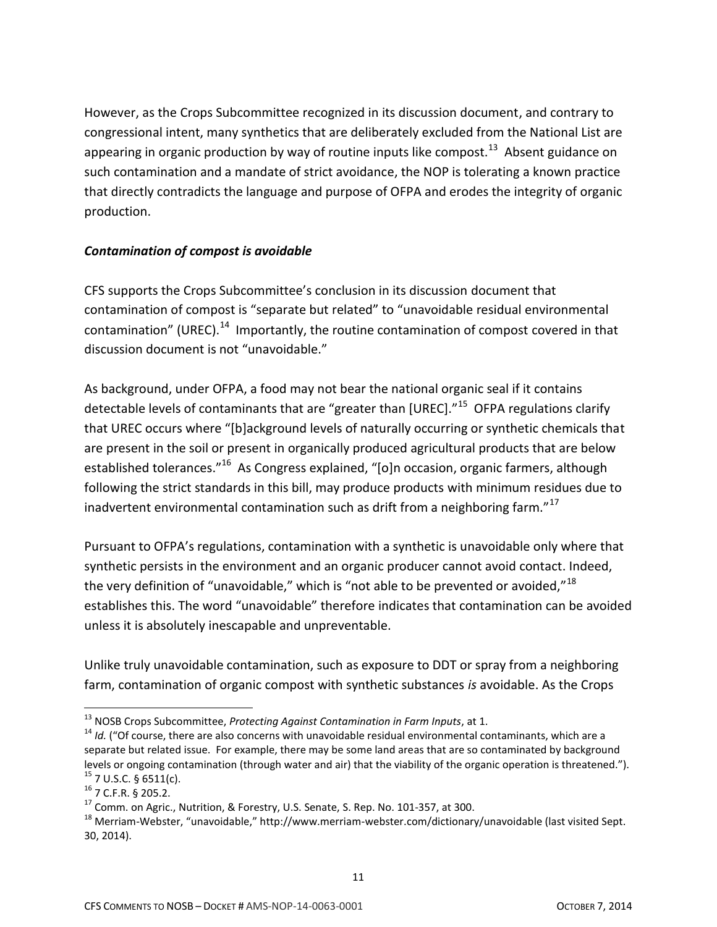However, as the Crops Subcommittee recognized in its discussion document, and contrary to congressional intent, many synthetics that are deliberately excluded from the National List are appearing in organic production by way of routine inputs like compost.<sup>13</sup> Absent guidance on such contamination and a mandate of strict avoidance, the NOP is tolerating a known practice that directly contradicts the language and purpose of OFPA and erodes the integrity of organic production.

# *Contamination of compost is avoidable*

CFS supports the Crops Subcommittee's conclusion in its discussion document that contamination of compost is "separate but related" to "unavoidable residual environmental contamination" (UREC).<sup>14</sup> Importantly, the routine contamination of compost covered in that discussion document is not "unavoidable."

As background, under OFPA, a food may not bear the national organic seal if it contains detectable levels of contaminants that are "greater than [UREC]."<sup>15</sup> OFPA regulations clarify that UREC occurs where "[b]ackground levels of naturally occurring or synthetic chemicals that are present in the soil or present in organically produced agricultural products that are below established tolerances."<sup>16</sup> As Congress explained, "[o]n occasion, organic farmers, although following the strict standards in this bill, may produce products with minimum residues due to inadvertent environmental contamination such as drift from a neighboring farm."<sup>17</sup>

Pursuant to OFPA's regulations, contamination with a synthetic is unavoidable only where that synthetic persists in the environment and an organic producer cannot avoid contact. Indeed, the very definition of "unavoidable," which is "not able to be prevented or avoided,"<sup>18</sup> establishes this. The word "unavoidable" therefore indicates that contamination can be avoided unless it is absolutely inescapable and unpreventable.

Unlike truly unavoidable contamination, such as exposure to DDT or spray from a neighboring farm, contamination of organic compost with synthetic substances *is* avoidable. As the Crops

<sup>13</sup> NOSB Crops Subcommittee, *Protecting Against Contamination in Farm Inputs*, at 1.

<sup>&</sup>lt;sup>14</sup> *Id.* ("Of course, there are also concerns with unavoidable residual environmental contaminants, which are a separate but related issue. For example, there may be some land areas that are so contaminated by background levels or ongoing contamination (through water and air) that the viability of the organic operation is threatened.").  $15$  7 U.S.C. § 6511(c).

<sup>16</sup> 7 C.F.R. § 205.2.

<sup>&</sup>lt;sup>17</sup> Comm. on Agric., Nutrition, & Forestry, U.S. Senate, S. Rep. No. 101-357, at 300.

<sup>18</sup> Merriam-Webster, "unavoidable," http://www.merriam-webster.com/dictionary/unavoidable (last visited Sept. 30, 2014).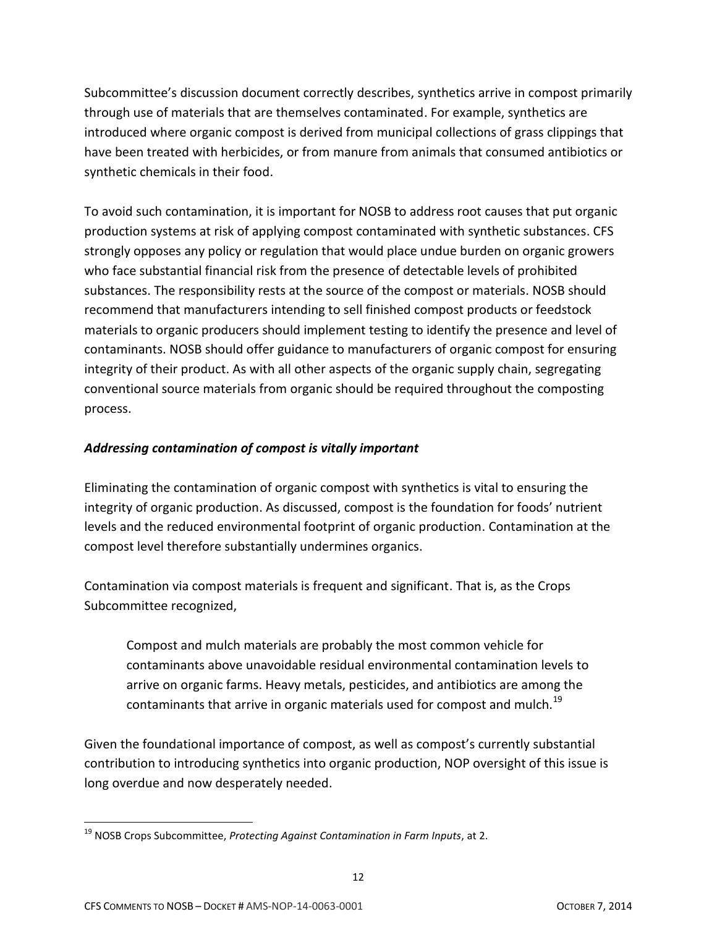Subcommittee's discussion document correctly describes, synthetics arrive in compost primarily through use of materials that are themselves contaminated. For example, synthetics are introduced where organic compost is derived from municipal collections of grass clippings that have been treated with herbicides, or from manure from animals that consumed antibiotics or synthetic chemicals in their food.

To avoid such contamination, it is important for NOSB to address root causes that put organic production systems at risk of applying compost contaminated with synthetic substances. CFS strongly opposes any policy or regulation that would place undue burden on organic growers who face substantial financial risk from the presence of detectable levels of prohibited substances. The responsibility rests at the source of the compost or materials. NOSB should recommend that manufacturers intending to sell finished compost products or feedstock materials to organic producers should implement testing to identify the presence and level of contaminants. NOSB should offer guidance to manufacturers of organic compost for ensuring integrity of their product. As with all other aspects of the organic supply chain, segregating conventional source materials from organic should be required throughout the composting process.

# *Addressing contamination of compost is vitally important*

Eliminating the contamination of organic compost with synthetics is vital to ensuring the integrity of organic production. As discussed, compost is the foundation for foods' nutrient levels and the reduced environmental footprint of organic production. Contamination at the compost level therefore substantially undermines organics.

Contamination via compost materials is frequent and significant. That is, as the Crops Subcommittee recognized,

Compost and mulch materials are probably the most common vehicle for contaminants above unavoidable residual environmental contamination levels to arrive on organic farms. Heavy metals, pesticides, and antibiotics are among the contaminants that arrive in organic materials used for compost and mulch.<sup>19</sup>

Given the foundational importance of compost, as well as compost's currently substantial contribution to introducing synthetics into organic production, NOP oversight of this issue is long overdue and now desperately needed.

 $\overline{\phantom{a}}$ <sup>19</sup> NOSB Crops Subcommittee, *Protecting Against Contamination in Farm Inputs*, at 2.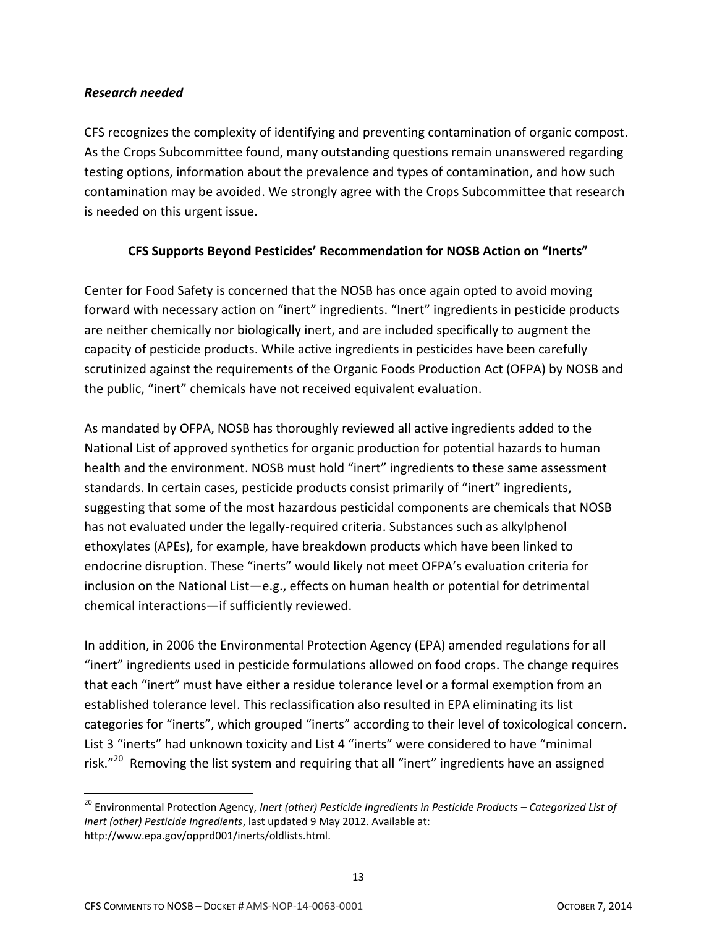#### *Research needed*

CFS recognizes the complexity of identifying and preventing contamination of organic compost. As the Crops Subcommittee found, many outstanding questions remain unanswered regarding testing options, information about the prevalence and types of contamination, and how such contamination may be avoided. We strongly agree with the Crops Subcommittee that research is needed on this urgent issue.

# **CFS Supports Beyond Pesticides' Recommendation for NOSB Action on "Inerts"**

Center for Food Safety is concerned that the NOSB has once again opted to avoid moving forward with necessary action on "inert" ingredients. "Inert" ingredients in pesticide products are neither chemically nor biologically inert, and are included specifically to augment the capacity of pesticide products. While active ingredients in pesticides have been carefully scrutinized against the requirements of the Organic Foods Production Act (OFPA) by NOSB and the public, "inert" chemicals have not received equivalent evaluation.

As mandated by OFPA, NOSB has thoroughly reviewed all active ingredients added to the National List of approved synthetics for organic production for potential hazards to human health and the environment. NOSB must hold "inert" ingredients to these same assessment standards. In certain cases, pesticide products consist primarily of "inert" ingredients, suggesting that some of the most hazardous pesticidal components are chemicals that NOSB has not evaluated under the legally-required criteria. Substances such as alkylphenol ethoxylates (APEs), for example, have breakdown products which have been linked to endocrine disruption. These "inerts" would likely not meet OFPA's evaluation criteria for inclusion on the National List—e.g., effects on human health or potential for detrimental chemical interactions—if sufficiently reviewed.

In addition, in 2006 the Environmental Protection Agency (EPA) amended regulations for all "inert" ingredients used in pesticide formulations allowed on food crops. The change requires that each "inert" must have either a residue tolerance level or a formal exemption from an established tolerance level. This reclassification also resulted in EPA eliminating its list categories for "inerts", which grouped "inerts" according to their level of toxicological concern. List 3 "inerts" had unknown toxicity and List 4 "inerts" were considered to have "minimal risk."<sup>20</sup> Removing the list system and requiring that all "inert" ingredients have an assigned

<sup>&</sup>lt;sup>20</sup> Environmental Protection Agency, *Inert (other) Pesticide Ingredients in Pesticide Products – Categorized List of Inert (other) Pesticide Ingredients*, last updated 9 May 2012. Available at: http://www.epa.gov/opprd001/inerts/oldlists.html.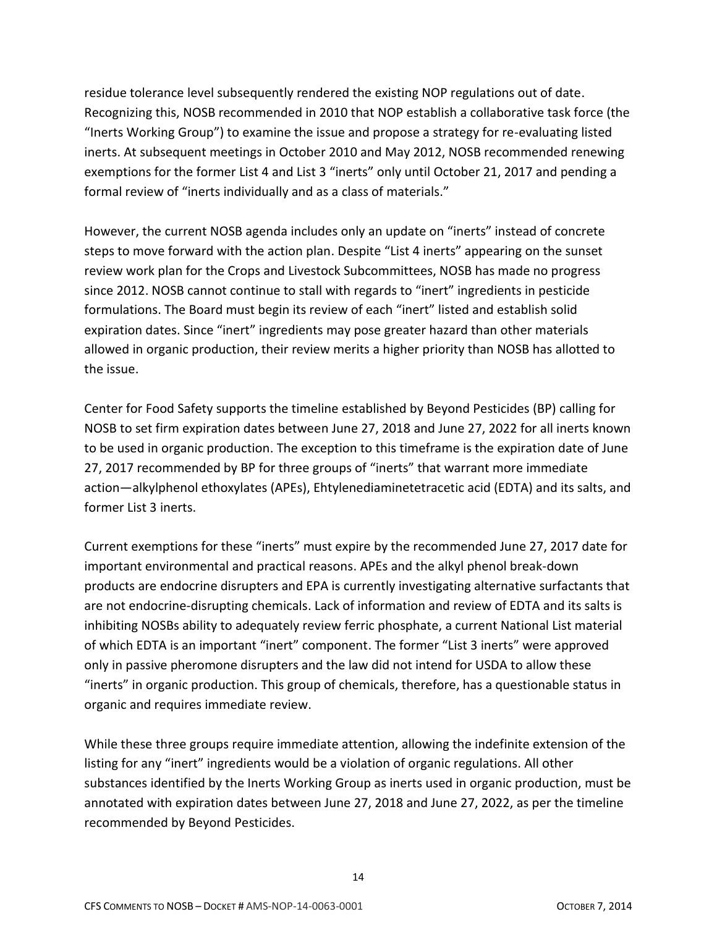residue tolerance level subsequently rendered the existing NOP regulations out of date. Recognizing this, NOSB recommended in 2010 that NOP establish a collaborative task force (the "Inerts Working Group") to examine the issue and propose a strategy for re-evaluating listed inerts. At subsequent meetings in October 2010 and May 2012, NOSB recommended renewing exemptions for the former List 4 and List 3 "inerts" only until October 21, 2017 and pending a formal review of "inerts individually and as a class of materials."

However, the current NOSB agenda includes only an update on "inerts" instead of concrete steps to move forward with the action plan. Despite "List 4 inerts" appearing on the sunset review work plan for the Crops and Livestock Subcommittees, NOSB has made no progress since 2012. NOSB cannot continue to stall with regards to "inert" ingredients in pesticide formulations. The Board must begin its review of each "inert" listed and establish solid expiration dates. Since "inert" ingredients may pose greater hazard than other materials allowed in organic production, their review merits a higher priority than NOSB has allotted to the issue.

Center for Food Safety supports the timeline established by Beyond Pesticides (BP) calling for NOSB to set firm expiration dates between June 27, 2018 and June 27, 2022 for all inerts known to be used in organic production. The exception to this timeframe is the expiration date of June 27, 2017 recommended by BP for three groups of "inerts" that warrant more immediate action—alkylphenol ethoxylates (APEs), Ehtylenediaminetetracetic acid (EDTA) and its salts, and former List 3 inerts.

Current exemptions for these "inerts" must expire by the recommended June 27, 2017 date for important environmental and practical reasons. APEs and the alkyl phenol break-down products are endocrine disrupters and EPA is currently investigating alternative surfactants that are not endocrine-disrupting chemicals. Lack of information and review of EDTA and its salts is inhibiting NOSBs ability to adequately review ferric phosphate, a current National List material of which EDTA is an important "inert" component. The former "List 3 inerts" were approved only in passive pheromone disrupters and the law did not intend for USDA to allow these "inerts" in organic production. This group of chemicals, therefore, has a questionable status in organic and requires immediate review.

While these three groups require immediate attention, allowing the indefinite extension of the listing for any "inert" ingredients would be a violation of organic regulations. All other substances identified by the Inerts Working Group as inerts used in organic production, must be annotated with expiration dates between June 27, 2018 and June 27, 2022, as per the timeline recommended by Beyond Pesticides.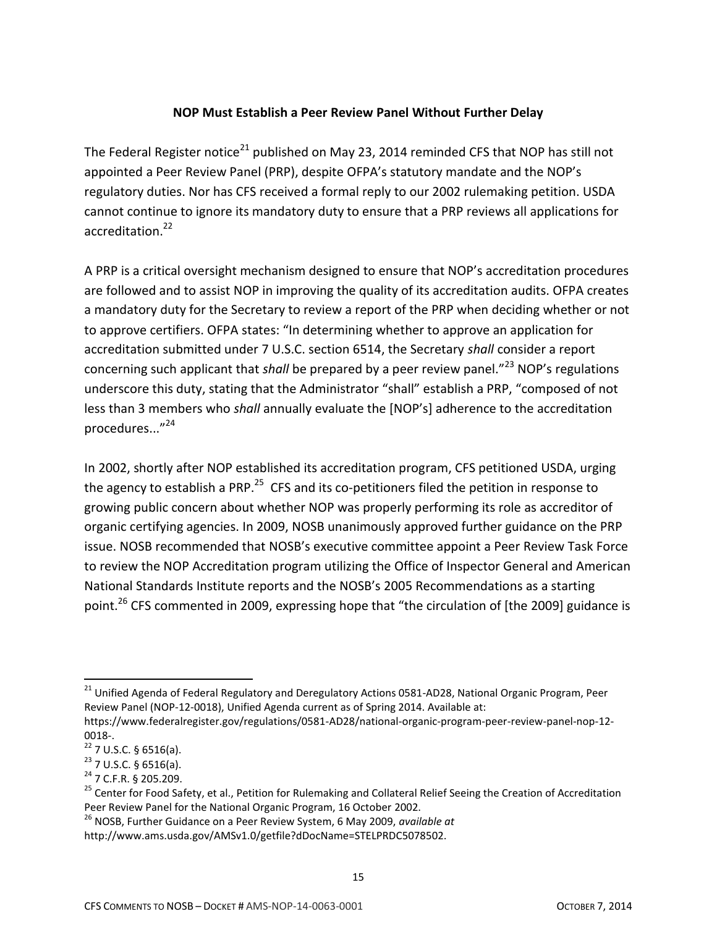### **NOP Must Establish a Peer Review Panel Without Further Delay**

The Federal Register notice<sup>21</sup> published on May 23, 2014 reminded CFS that NOP has still not appointed a Peer Review Panel (PRP), despite OFPA's statutory mandate and the NOP's regulatory duties. Nor has CFS received a formal reply to our 2002 rulemaking petition. USDA cannot continue to ignore its mandatory duty to ensure that a PRP reviews all applications for accreditation.<sup>22</sup>

A PRP is a critical oversight mechanism designed to ensure that NOP's accreditation procedures are followed and to assist NOP in improving the quality of its accreditation audits. OFPA creates a mandatory duty for the Secretary to review a report of the PRP when deciding whether or not to approve certifiers. OFPA states: "In determining whether to approve an application for accreditation submitted under 7 U.S.C. section 6514, the Secretary *shall* consider a report concerning such applicant that *shall* be prepared by a peer review panel."<sup>23</sup> NOP's regulations underscore this duty, stating that the Administrator "shall" establish a PRP, "composed of not less than 3 members who *shall* annually evaluate the [NOP's] adherence to the accreditation procedures..."<sup>24</sup>

In 2002, shortly after NOP established its accreditation program, CFS petitioned USDA, urging the agency to establish a PRP.<sup>25</sup> CFS and its co-petitioners filed the petition in response to growing public concern about whether NOP was properly performing its role as accreditor of organic certifying agencies. In 2009, NOSB unanimously approved further guidance on the PRP issue. NOSB recommended that NOSB's executive committee appoint a Peer Review Task Force to review the NOP Accreditation program utilizing the Office of Inspector General and American National Standards Institute reports and the NOSB's 2005 Recommendations as a starting point.<sup>26</sup> CFS commented in 2009, expressing hope that "the circulation of [the 2009] guidance is

 $\overline{a}$ 

<sup>&</sup>lt;sup>21</sup> Unified Agenda of Federal Regulatory and Deregulatory Actions 0581-AD28, National Organic Program, Peer Review Panel (NOP-12-0018), Unified Agenda current as of Spring 2014. Available at: https://www.federalregister.gov/regulations/0581-AD28/national-organic-program-peer-review-panel-nop-12-

<sup>0018-.</sup>

 $22$  7 U.S.C. § 6516(a).

 $23$  7 U.S.C. § 6516(a).

<sup>24</sup> 7 C.F.R. § 205.209.

<sup>&</sup>lt;sup>25</sup> Center for Food Safety, et al., Petition for Rulemaking and Collateral Relief Seeing the Creation of Accreditation Peer Review Panel for the National Organic Program, 16 October 2002.

<sup>26</sup> NOSB, Further Guidance on a Peer Review System, 6 May 2009, *available at*

http://www.ams.usda.gov/AMSv1.0/getfile?dDocName=STELPRDC5078502.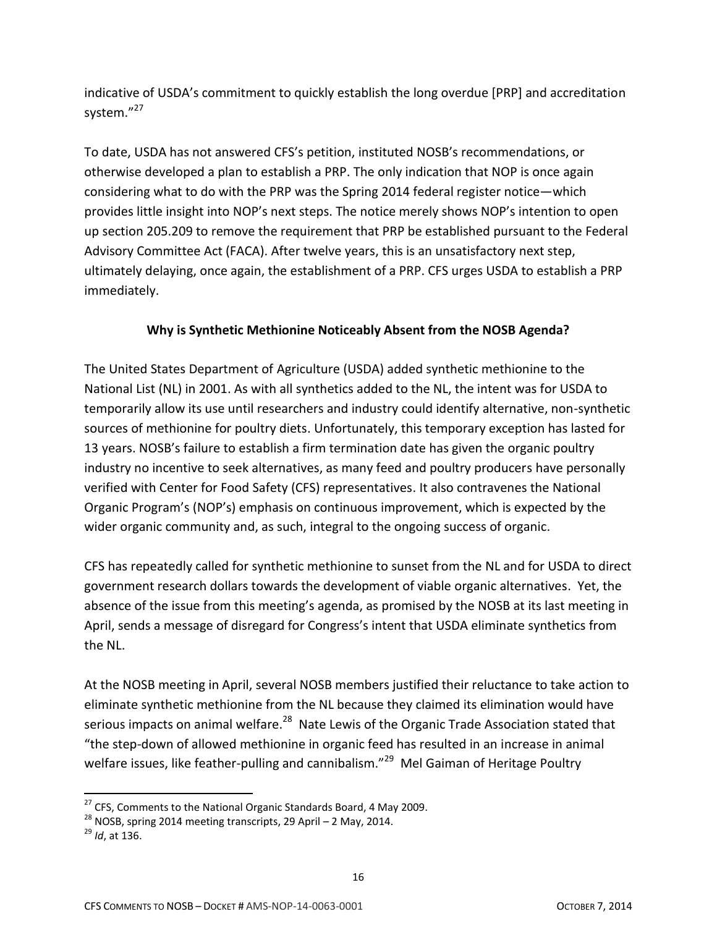indicative of USDA's commitment to quickly establish the long overdue [PRP] and accreditation system."27

To date, USDA has not answered CFS's petition, instituted NOSB's recommendations, or otherwise developed a plan to establish a PRP. The only indication that NOP is once again considering what to do with the PRP was the Spring 2014 federal register notice—which provides little insight into NOP's next steps. The notice merely shows NOP's intention to open up section 205.209 to remove the requirement that PRP be established pursuant to the Federal Advisory Committee Act (FACA). After twelve years, this is an unsatisfactory next step, ultimately delaying, once again, the establishment of a PRP. CFS urges USDA to establish a PRP immediately.

### **Why is Synthetic Methionine Noticeably Absent from the NOSB Agenda?**

The United States Department of Agriculture (USDA) added synthetic methionine to the National List (NL) in 2001. As with all synthetics added to the NL, the intent was for USDA to temporarily allow its use until researchers and industry could identify alternative, non-synthetic sources of methionine for poultry diets. Unfortunately, this temporary exception has lasted for 13 years. NOSB's failure to establish a firm termination date has given the organic poultry industry no incentive to seek alternatives, as many feed and poultry producers have personally verified with Center for Food Safety (CFS) representatives. It also contravenes the National Organic Program's (NOP's) emphasis on continuous improvement, which is expected by the wider organic community and, as such, integral to the ongoing success of organic.

CFS has repeatedly called for synthetic methionine to sunset from the NL and for USDA to direct government research dollars towards the development of viable organic alternatives. Yet, the absence of the issue from this meeting's agenda, as promised by the NOSB at its last meeting in April, sends a message of disregard for Congress's intent that USDA eliminate synthetics from the NL.

At the NOSB meeting in April, several NOSB members justified their reluctance to take action to eliminate synthetic methionine from the NL because they claimed its elimination would have serious impacts on animal welfare.<sup>28</sup> Nate Lewis of the Organic Trade Association stated that "the step-down of allowed methionine in organic feed has resulted in an increase in animal welfare issues, like feather-pulling and cannibalism."<sup>29</sup> Mel Gaiman of Heritage Poultry

 $^{27}$  CFS, Comments to the National Organic Standards Board, 4 May 2009.

 $^{28}$  NOSB, spring 2014 meeting transcripts, 29 April – 2 May, 2014.

<sup>29</sup> *Id*, at 136.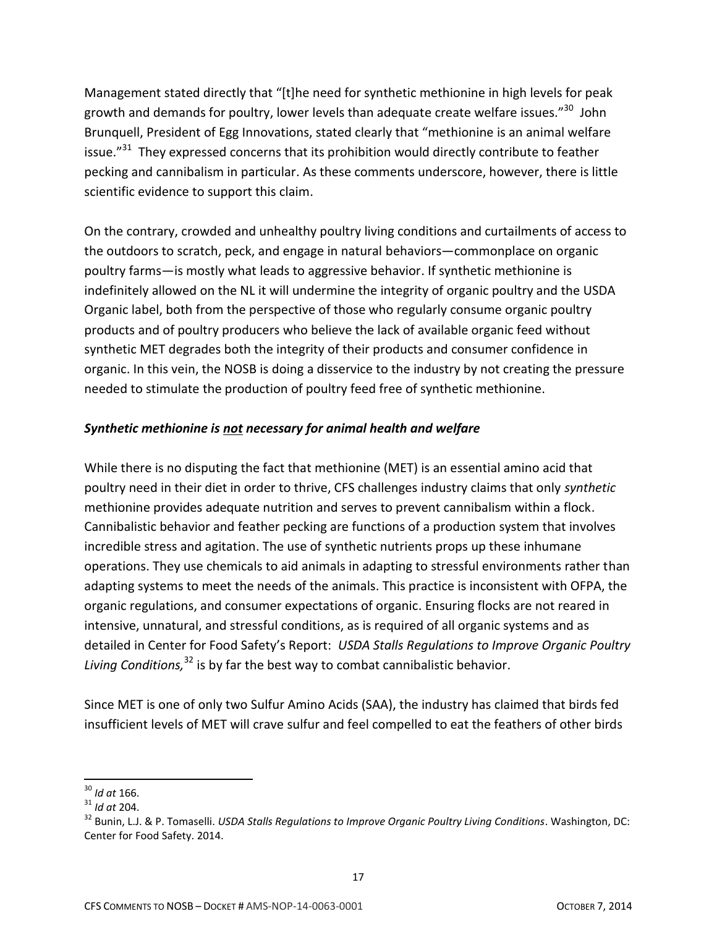Management stated directly that "[t]he need for synthetic methionine in high levels for peak growth and demands for poultry, lower levels than adequate create welfare issues."<sup>30</sup> John Brunquell, President of Egg Innovations, stated clearly that "methionine is an animal welfare issue."<sup>31</sup> They expressed concerns that its prohibition would directly contribute to feather pecking and cannibalism in particular. As these comments underscore, however, there is little scientific evidence to support this claim.

On the contrary, crowded and unhealthy poultry living conditions and curtailments of access to the outdoors to scratch, peck, and engage in natural behaviors—commonplace on organic poultry farms—is mostly what leads to aggressive behavior. If synthetic methionine is indefinitely allowed on the NL it will undermine the integrity of organic poultry and the USDA Organic label, both from the perspective of those who regularly consume organic poultry products and of poultry producers who believe the lack of available organic feed without synthetic MET degrades both the integrity of their products and consumer confidence in organic. In this vein, the NOSB is doing a disservice to the industry by not creating the pressure needed to stimulate the production of poultry feed free of synthetic methionine.

# *Synthetic methionine is not necessary for animal health and welfare*

While there is no disputing the fact that methionine (MET) is an essential amino acid that poultry need in their diet in order to thrive, CFS challenges industry claims that only *synthetic* methionine provides adequate nutrition and serves to prevent cannibalism within a flock. Cannibalistic behavior and feather pecking are functions of a production system that involves incredible stress and agitation. The use of synthetic nutrients props up these inhumane operations. They use chemicals to aid animals in adapting to stressful environments rather than adapting systems to meet the needs of the animals. This practice is inconsistent with OFPA, the organic regulations, and consumer expectations of organic. Ensuring flocks are not reared in intensive, unnatural, and stressful conditions, as is required of all organic systems and as detailed in Center for Food Safety's Report: *USDA Stalls Regulations to Improve Organic Poultry Living Conditions,*<sup>32</sup> is by far the best way to combat cannibalistic behavior.

Since MET is one of only two Sulfur Amino Acids (SAA), the industry has claimed that birds fed insufficient levels of MET will crave sulfur and feel compelled to eat the feathers of other birds

 $\overline{a}$ <sup>30</sup> *Id at* 166.

<sup>31</sup> *Id at* 204.

<sup>32</sup> Bunin, L.J. & P. Tomaselli. *USDA Stalls Regulations to Improve Organic Poultry Living Conditions*. Washington, DC: Center for Food Safety. 2014.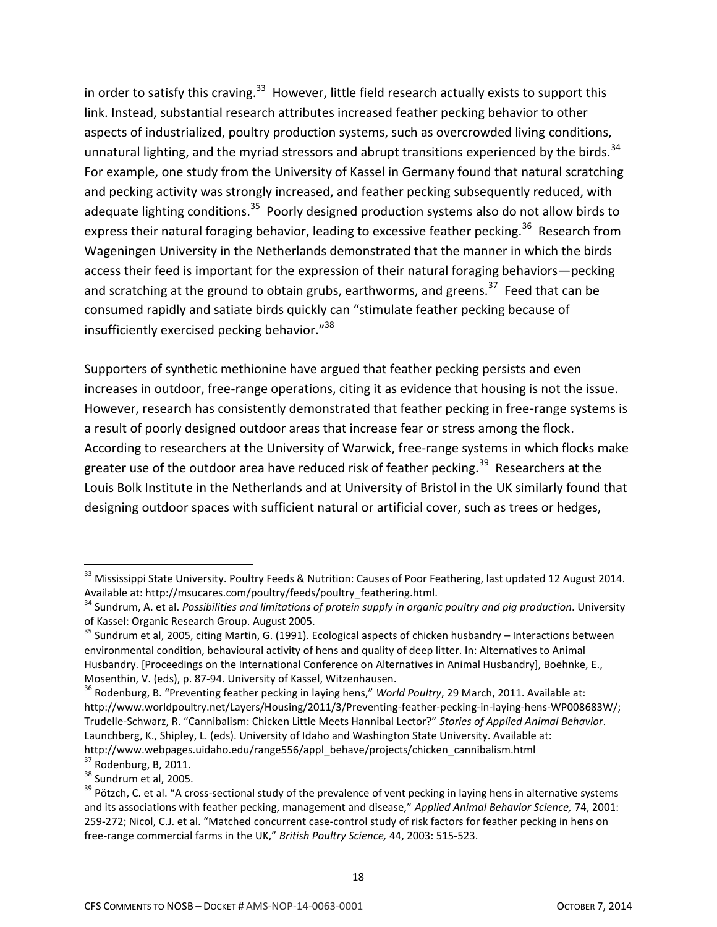in order to satisfy this craving.<sup>33</sup> However, little field research actually exists to support this link. Instead, substantial research attributes increased feather pecking behavior to other aspects of industrialized, poultry production systems, such as overcrowded living conditions, unnatural lighting, and the myriad stressors and abrupt transitions experienced by the birds.<sup>34</sup> For example, one study from the University of Kassel in Germany found that natural scratching and pecking activity was strongly increased, and feather pecking subsequently reduced, with adequate lighting conditions.<sup>35</sup> Poorly designed production systems also do not allow birds to express their natural foraging behavior, leading to excessive feather pecking.<sup>36</sup> Research from Wageningen University in the Netherlands demonstrated that the manner in which the birds access their feed is important for the expression of their natural foraging behaviors—pecking and scratching at the ground to obtain grubs, earthworms, and greens.<sup>37</sup> Feed that can be consumed rapidly and satiate birds quickly can "stimulate feather pecking because of insufficiently exercised pecking behavior."<sup>38</sup>

Supporters of synthetic methionine have argued that feather pecking persists and even increases in outdoor, free-range operations, citing it as evidence that housing is not the issue. However, research has consistently demonstrated that feather pecking in free-range systems is a result of poorly designed outdoor areas that increase fear or stress among the flock. According to researchers at the University of Warwick, free-range systems in which flocks make greater use of the outdoor area have reduced risk of feather pecking.<sup>39</sup> Researchers at the Louis Bolk Institute in the Netherlands and at University of Bristol in the UK similarly found that designing outdoor spaces with sufficient natural or artificial cover, such as trees or hedges,

 $33$  Mississippi State University. Poultry Feeds & Nutrition: Causes of Poor Feathering, last updated 12 August 2014. Available at: http://msucares.com/poultry/feeds/poultry\_feathering.html.

<sup>34</sup> Sundrum, A. et al. *Possibilities and limitations of protein supply in organic poultry and pig production*. University of Kassel: Organic Research Group. August 2005.

<sup>&</sup>lt;sup>35</sup> Sundrum et al, 2005, citing Martin, G. (1991). Ecological aspects of chicken husbandry – Interactions between environmental condition, behavioural activity of hens and quality of deep litter. In: Alternatives to Animal Husbandry. [Proceedings on the International Conference on Alternatives in Animal Husbandry], Boehnke, E., Mosenthin, V. (eds), p. 87-94. University of Kassel, Witzenhausen.

<sup>36</sup> Rodenburg, B. "Preventing feather pecking in laying hens," *World Poultry*, 29 March, 2011. Available at: http://www.worldpoultry.net/Layers/Housing/2011/3/Preventing-feather-pecking-in-laying-hens-WP008683W/; Trudelle-Schwarz, R. "Cannibalism: Chicken Little Meets Hannibal Lector?" *Stories of Applied Animal Behavior*. Launchberg, K., Shipley, L. (eds). University of Idaho and Washington State University. Available at: http://www.webpages.uidaho.edu/range556/appl\_behave/projects/chicken\_cannibalism.html

 $37$  Rodenburg, B, 2011.

<sup>&</sup>lt;sup>38</sup> Sundrum et al, 2005.

<sup>&</sup>lt;sup>39</sup> Pötzch, C. et al. "A cross-sectional study of the prevalence of vent pecking in laying hens in alternative systems and its associations with feather pecking, management and disease," *Applied Animal Behavior Science,* 74, 2001: 259-272; Nicol, C.J. et al. "Matched concurrent case-control study of risk factors for feather pecking in hens on free-range commercial farms in the UK," *British Poultry Science,* 44, 2003: 515-523.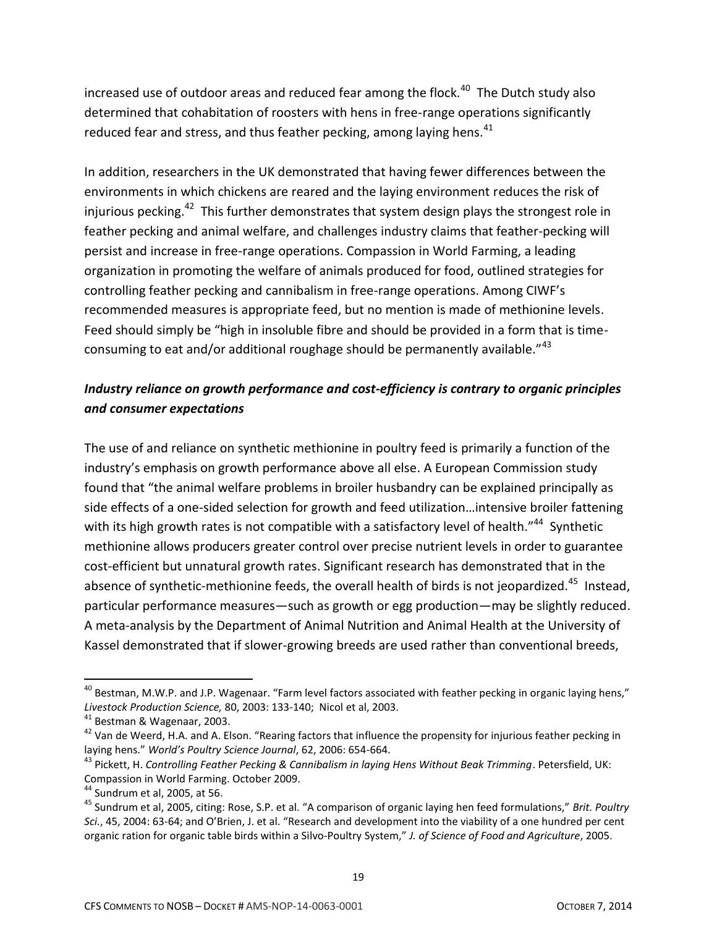increased use of outdoor areas and reduced fear among the flock. $^{40}$  The Dutch study also determined that cohabitation of roosters with hens in free-range operations significantly reduced fear and stress, and thus feather pecking, among laying hens. $41$ 

In addition, researchers in the UK demonstrated that having fewer differences between the environments in which chickens are reared and the laying environment reduces the risk of injurious pecking.<sup>42</sup> This further demonstrates that system design plays the strongest role in feather pecking and animal welfare, and challenges industry claims that feather-pecking will persist and increase in free-range operations. Compassion in World Farming, a leading organization in promoting the welfare of animals produced for food, outlined strategies for controlling feather pecking and cannibalism in free-range operations. Among CIWF's recommended measures is appropriate feed, but no mention is made of methionine levels. Feed should simply be "high in insoluble fibre and should be provided in a form that is timeconsuming to eat and/or additional roughage should be permanently available."<sup>43</sup>

# *Industry reliance on growth performance and cost-efficiency is contrary to organic principles and consumer expectations*

The use of and reliance on synthetic methionine in poultry feed is primarily a function of the industry's emphasis on growth performance above all else. A European Commission study found that "the animal welfare problems in broiler husbandry can be explained principally as side effects of a one-sided selection for growth and feed utilization…intensive broiler fattening with its high growth rates is not compatible with a satisfactory level of health."<sup>44</sup> Synthetic methionine allows producers greater control over precise nutrient levels in order to guarantee cost-efficient but unnatural growth rates. Significant research has demonstrated that in the absence of synthetic-methionine feeds, the overall health of birds is not jeopardized.<sup>45</sup> Instead, particular performance measures—such as growth or egg production—may be slightly reduced. A meta-analysis by the Department of Animal Nutrition and Animal Health at the University of Kassel demonstrated that if slower-growing breeds are used rather than conventional breeds,

 $\overline{a}$ 

 $^{40}$  Bestman, M.W.P. and J.P. Wagenaar. "Farm level factors associated with feather pecking in organic laying hens," *Livestock Production Science,* 80, 2003: 133-140; Nicol et al, 2003.

<sup>41</sup> Bestman & Wagenaar, 2003.

<sup>&</sup>lt;sup>42</sup> Van de Weerd, H.A. and A. Elson. "Rearing factors that influence the propensity for injurious feather pecking in laying hens." *World's Poultry Science Journal*, 62, 2006: 654-664.

<sup>43</sup> Pickett, H. *Controlling Feather Pecking & Cannibalism in laying Hens Without Beak Trimming*. Petersfield, UK: Compassion in World Farming. October 2009.

<sup>44</sup> Sundrum et al, 2005, at 56.

<sup>45</sup> Sundrum et al, 2005, citing: Rose, S.P. et al. "A comparison of organic laying hen feed formulations," *Brit. Poultry Sci.*, 45, 2004: 63-64; and O'Brien, J. et al. "Research and development into the viability of a one hundred per cent organic ration for organic table birds within a Silvo-Poultry System," *J. of Science of Food and Agriculture*, 2005.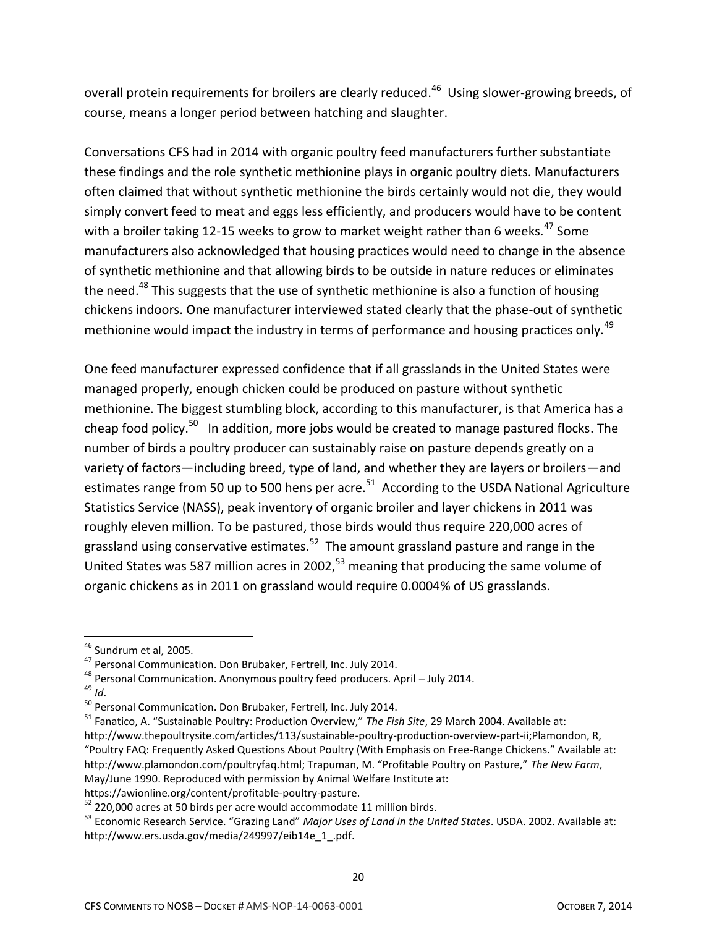overall protein requirements for broilers are clearly reduced.<sup>46</sup> Using slower-growing breeds, of course, means a longer period between hatching and slaughter.

Conversations CFS had in 2014 with organic poultry feed manufacturers further substantiate these findings and the role synthetic methionine plays in organic poultry diets. Manufacturers often claimed that without synthetic methionine the birds certainly would not die, they would simply convert feed to meat and eggs less efficiently, and producers would have to be content with a broiler taking 12-15 weeks to grow to market weight rather than 6 weeks.<sup>47</sup> Some manufacturers also acknowledged that housing practices would need to change in the absence of synthetic methionine and that allowing birds to be outside in nature reduces or eliminates the need.<sup>48</sup> This suggests that the use of synthetic methionine is also a function of housing chickens indoors. One manufacturer interviewed stated clearly that the phase-out of synthetic methionine would impact the industry in terms of performance and housing practices only.<sup>49</sup>

One feed manufacturer expressed confidence that if all grasslands in the United States were managed properly, enough chicken could be produced on pasture without synthetic methionine. The biggest stumbling block, according to this manufacturer, is that America has a cheap food policy.<sup>50</sup> In addition, more jobs would be created to manage pastured flocks. The number of birds a poultry producer can sustainably raise on pasture depends greatly on a variety of factors—including breed, type of land, and whether they are layers or broilers—and estimates range from 50 up to 500 hens per acre.<sup>51</sup> According to the USDA National Agriculture Statistics Service (NASS), peak inventory of organic broiler and layer chickens in 2011 was roughly eleven million. To be pastured, those birds would thus require 220,000 acres of grassland using conservative estimates.<sup>52</sup> The amount grassland pasture and range in the United States was 587 million acres in 2002, $53$  meaning that producing the same volume of organic chickens as in 2011 on grassland would require 0.0004% of US grasslands.

<sup>&</sup>lt;sup>46</sup> Sundrum et al, 2005.

<sup>&</sup>lt;sup>47</sup> Personal Communication. Don Brubaker, Fertrell, Inc. July 2014.

 $48$  Personal Communication. Anonymous poultry feed producers. April – July 2014.

 $49$  *Id.* 

<sup>&</sup>lt;sup>50</sup> Personal Communication. Don Brubaker, Fertrell, Inc. July 2014.

<sup>51</sup> Fanatico, A. "Sustainable Poultry: Production Overview," *The Fish Site*, 29 March 2004. Available at: http://www.thepoultrysite.com/articles/113/sustainable-poultry-production-overview-part-ii;Plamondon, R, "Poultry FAQ: Frequently Asked Questions About Poultry (With Emphasis on Free-Range Chickens." Available at: http://www.plamondon.com/poultryfaq.html; Trapuman, M. "Profitable Poultry on Pasture," *The New Farm*, May/June 1990. Reproduced with permission by Animal Welfare Institute at:

https://awionline.org/content/profitable-poultry-pasture.

 $52$  220,000 acres at 50 birds per acre would accommodate 11 million birds.

<sup>53</sup> Economic Research Service. "Grazing Land" *Major Uses of Land in the United States*. USDA. 2002. Available at: http://www.ers.usda.gov/media/249997/eib14e\_1\_.pdf.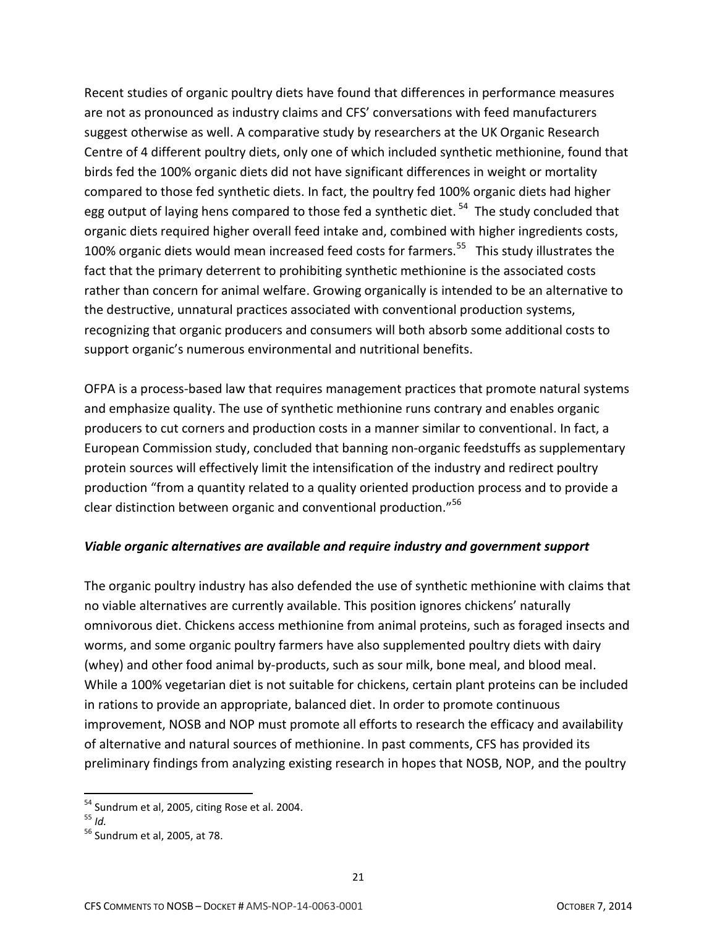Recent studies of organic poultry diets have found that differences in performance measures are not as pronounced as industry claims and CFS' conversations with feed manufacturers suggest otherwise as well. A comparative study by researchers at the UK Organic Research Centre of 4 different poultry diets, only one of which included synthetic methionine, found that birds fed the 100% organic diets did not have significant differences in weight or mortality compared to those fed synthetic diets. In fact, the poultry fed 100% organic diets had higher egg output of laying hens compared to those fed a synthetic diet. <sup>54</sup> The study concluded that organic diets required higher overall feed intake and, combined with higher ingredients costs, 100% organic diets would mean increased feed costs for farmers.<sup>55</sup> This study illustrates the fact that the primary deterrent to prohibiting synthetic methionine is the associated costs rather than concern for animal welfare. Growing organically is intended to be an alternative to the destructive, unnatural practices associated with conventional production systems, recognizing that organic producers and consumers will both absorb some additional costs to support organic's numerous environmental and nutritional benefits.

OFPA is a process-based law that requires management practices that promote natural systems and emphasize quality. The use of synthetic methionine runs contrary and enables organic producers to cut corners and production costs in a manner similar to conventional. In fact, a European Commission study, concluded that banning non-organic feedstuffs as supplementary protein sources will effectively limit the intensification of the industry and redirect poultry production "from a quantity related to a quality oriented production process and to provide a clear distinction between organic and conventional production."<sup>56</sup>

#### *Viable organic alternatives are available and require industry and government support*

The organic poultry industry has also defended the use of synthetic methionine with claims that no viable alternatives are currently available. This position ignores chickens' naturally omnivorous diet. Chickens access methionine from animal proteins, such as foraged insects and worms, and some organic poultry farmers have also supplemented poultry diets with dairy (whey) and other food animal by-products, such as sour milk, bone meal, and blood meal. While a 100% vegetarian diet is not suitable for chickens, certain plant proteins can be included in rations to provide an appropriate, balanced diet. In order to promote continuous improvement, NOSB and NOP must promote all efforts to research the efficacy and availability of alternative and natural sources of methionine. In past comments, CFS has provided its preliminary findings from analyzing existing research in hopes that NOSB, NOP, and the poultry

 $54$  Sundrum et al, 2005, citing Rose et al. 2004.

<sup>55</sup> *Id.*

<sup>56</sup> Sundrum et al, 2005, at 78.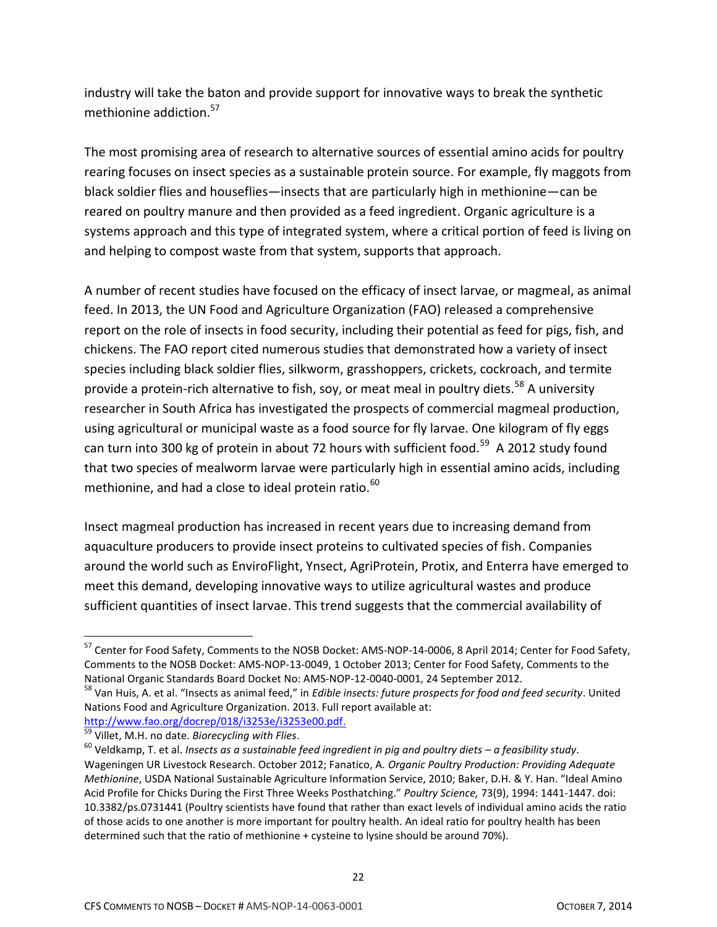industry will take the baton and provide support for innovative ways to break the synthetic methionine addiction.<sup>57</sup>

The most promising area of research to alternative sources of essential amino acids for poultry rearing focuses on insect species as a sustainable protein source. For example, fly maggots from black soldier flies and houseflies—insects that are particularly high in methionine—can be reared on poultry manure and then provided as a feed ingredient. Organic agriculture is a systems approach and this type of integrated system, where a critical portion of feed is living on and helping to compost waste from that system, supports that approach.

A number of recent studies have focused on the efficacy of insect larvae, or magmeal, as animal feed. In 2013, the UN Food and Agriculture Organization (FAO) released a comprehensive report on the role of insects in food security, including their potential as feed for pigs, fish, and chickens. The FAO report cited numerous studies that demonstrated how a variety of insect species including black soldier flies, silkworm, grasshoppers, crickets, cockroach, and termite provide a protein-rich alternative to fish, soy, or meat meal in poultry diets.<sup>58</sup> A university researcher in South Africa has investigated the prospects of commercial magmeal production, using agricultural or municipal waste as a food source for fly larvae. One kilogram of fly eggs can turn into 300 kg of protein in about 72 hours with sufficient food.<sup>59</sup> A 2012 study found that two species of mealworm larvae were particularly high in essential amino acids, including methionine, and had a close to ideal protein ratio. $^{60}$ 

Insect magmeal production has increased in recent years due to increasing demand from aquaculture producers to provide insect proteins to cultivated species of fish. Companies around the world such as EnviroFlight, Ynsect, AgriProtein, Protix, and Enterra have emerged to meet this demand, developing innovative ways to utilize agricultural wastes and produce sufficient quantities of insect larvae. This trend suggests that the commercial availability of

 $\overline{\phantom{a}}$  $^{57}$  Center for Food Safety, Comments to the NOSB Docket: AMS-NOP-14-0006, 8 April 2014; Center for Food Safety, Comments to the NOSB Docket: AMS-NOP-13-0049, 1 October 2013; Center for Food Safety, Comments to the National Organic Standards Board Docket No: AMS-NOP-12-0040-0001, 24 September 2012.

<sup>58</sup> Van Huis, A. et al. "Insects as animal feed," in *Edible insects: future prospects for food and feed security*. United Nations Food and Agriculture Organization. 2013. Full report available at: [http://www.fao.org/docrep/018/i3253e/i3253e00.pdf.](http://www.fao.org/docrep/018/i3253e/i3253e00.pdf)

<sup>59</sup> Villet, M.H. no date. *Biorecycling with Flies*.

<sup>60</sup> Veldkamp, T. et al. *Insects as a sustainable feed ingredient in pig and poultry diets – a feasibility study*. Wageningen UR Livestock Research. October 2012; Fanatico, A. *Organic Poultry Production: Providing Adequate Methionine*, USDA National Sustainable Agriculture Information Service, 2010; Baker, D.H. & Y. Han. "Ideal Amino Acid Profile for Chicks During the First Three Weeks Posthatching." *Poultry Science,* 73(9), 1994: 1441-1447. doi: 10.3382/ps.0731441 (Poultry scientists have found that rather than exact levels of individual amino acids the ratio of those acids to one another is more important for poultry health. An ideal ratio for poultry health has been determined such that the ratio of methionine + cysteine to lysine should be around 70%).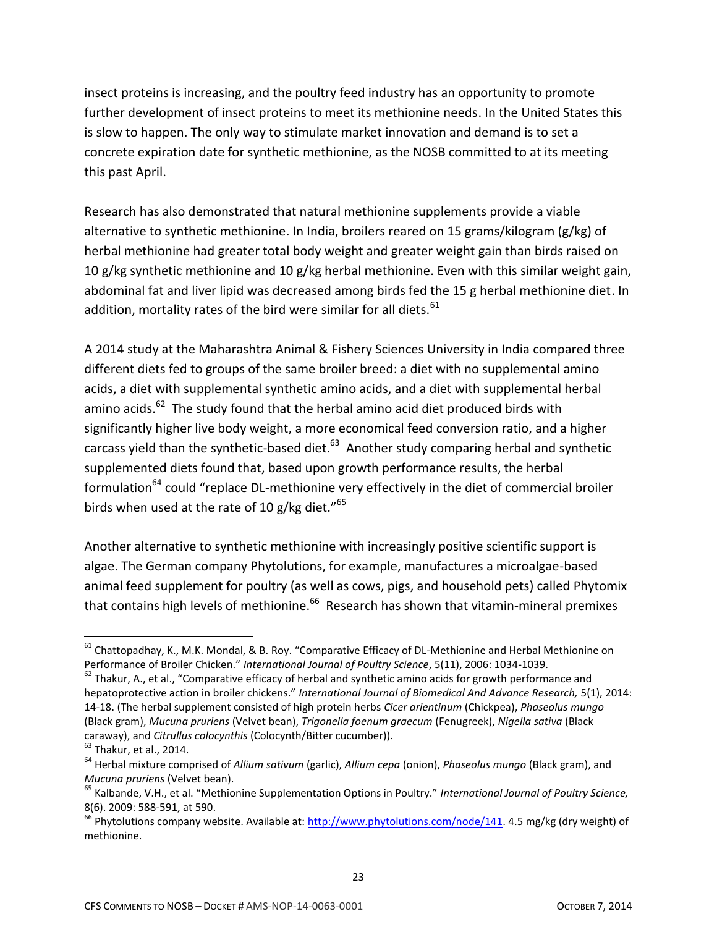insect proteins is increasing, and the poultry feed industry has an opportunity to promote further development of insect proteins to meet its methionine needs. In the United States this is slow to happen. The only way to stimulate market innovation and demand is to set a concrete expiration date for synthetic methionine, as the NOSB committed to at its meeting this past April.

Research has also demonstrated that natural methionine supplements provide a viable alternative to synthetic methionine. In India, broilers reared on 15 grams/kilogram (g/kg) of herbal methionine had greater total body weight and greater weight gain than birds raised on 10 g/kg synthetic methionine and 10 g/kg herbal methionine. Even with this similar weight gain, abdominal fat and liver lipid was decreased among birds fed the 15 g herbal methionine diet. In addition, mortality rates of the bird were similar for all diets.  $61$ 

A 2014 study at the Maharashtra Animal & Fishery Sciences University in India compared three different diets fed to groups of the same broiler breed: a diet with no supplemental amino acids, a diet with supplemental synthetic amino acids, and a diet with supplemental herbal amino acids.<sup>62</sup> The study found that the herbal amino acid diet produced birds with significantly higher live body weight, a more economical feed conversion ratio, and a higher carcass yield than the synthetic-based diet.<sup>63</sup> Another study comparing herbal and synthetic supplemented diets found that, based upon growth performance results, the herbal formulation<sup>64</sup> could "replace DL-methionine very effectively in the diet of commercial broiler birds when used at the rate of 10 g/kg diet."<sup>65</sup>

Another alternative to synthetic methionine with increasingly positive scientific support is algae. The German company Phytolutions, for example, manufactures a microalgae-based animal feed supplement for poultry (as well as cows, pigs, and household pets) called Phytomix that contains high levels of methionine.<sup>66</sup> Research has shown that vitamin-mineral premixes

<sup>&</sup>lt;sup>61</sup> Chattopadhay, K., M.K. Mondal, & B. Roy. "Comparative Efficacy of DL-Methionine and Herbal Methionine on Performance of Broiler Chicken." *International Journal of Poultry Science*, 5(11), 2006: 1034-1039.

 $62$  Thakur, A., et al., "Comparative efficacy of herbal and synthetic amino acids for growth performance and hepatoprotective action in broiler chickens." *International Journal of Biomedical And Advance Research,* 5(1), 2014: 14-18. (The herbal supplement consisted of high protein herbs *Cicer arientinum* (Chickpea), *Phaseolus mungo* (Black gram), *Mucuna pruriens* (Velvet bean), *Trigonella foenum graecum* (Fenugreek), *Nigella sativa* (Black caraway), and *Citrullus colocynthis* (Colocynth/Bitter cucumber)).

 $<sup>63</sup>$  Thakur, et al., 2014.</sup>

<sup>64</sup> Herbal mixture comprised of *Allium sativum* (garlic), *Allium cepa* (onion), *Phaseolus mungo* (Black gram), and *Mucuna pruriens* (Velvet bean).

<sup>65</sup> Kalbande, V.H., et al. "Methionine Supplementation Options in Poultry." *International Journal of Poultry Science,*  8(6). 2009: 588-591, at 590.

 $^{66}$  Phytolutions company website. Available at: [http://www.phytolutions.com/node/141.](http://www.phytolutions.com/node/141) 4.5 mg/kg (dry weight) of methionine.